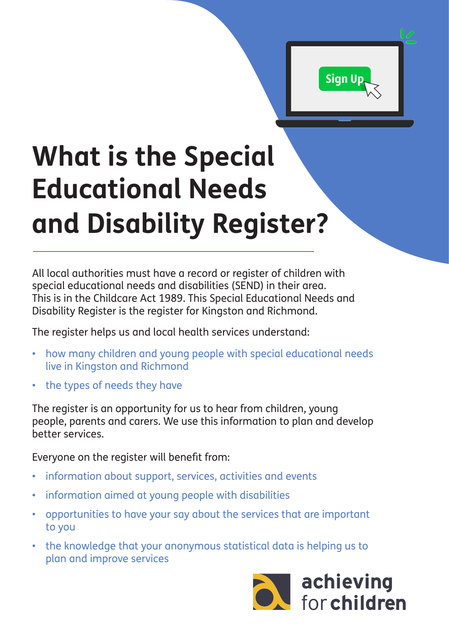

## **What is the Special Educational Needs and Disability Register?**

All local authorities must have a record or register of children with special educational needs and disabilities (SEND) in their area. This is in the Childcare Act 1989. This Special Educational Needs and Disability Register is the register for Kingston and Richmond.

The register helps us and local health services understand:

- how many children and young people with special educational needs live in Kingston and Richmond
- the types of needs they have

The register is an opportunity for us to hear from children, young people, parents and carers. We use this information to plan and develop better services.

Everyone on the register will benefit from:

- information about support, services, activities and events
- information aimed at young people with disabilities
- opportunities to have your say about the services that are important to you
- the knowledge that your anonymous statistical data is helping us to plan and improve services